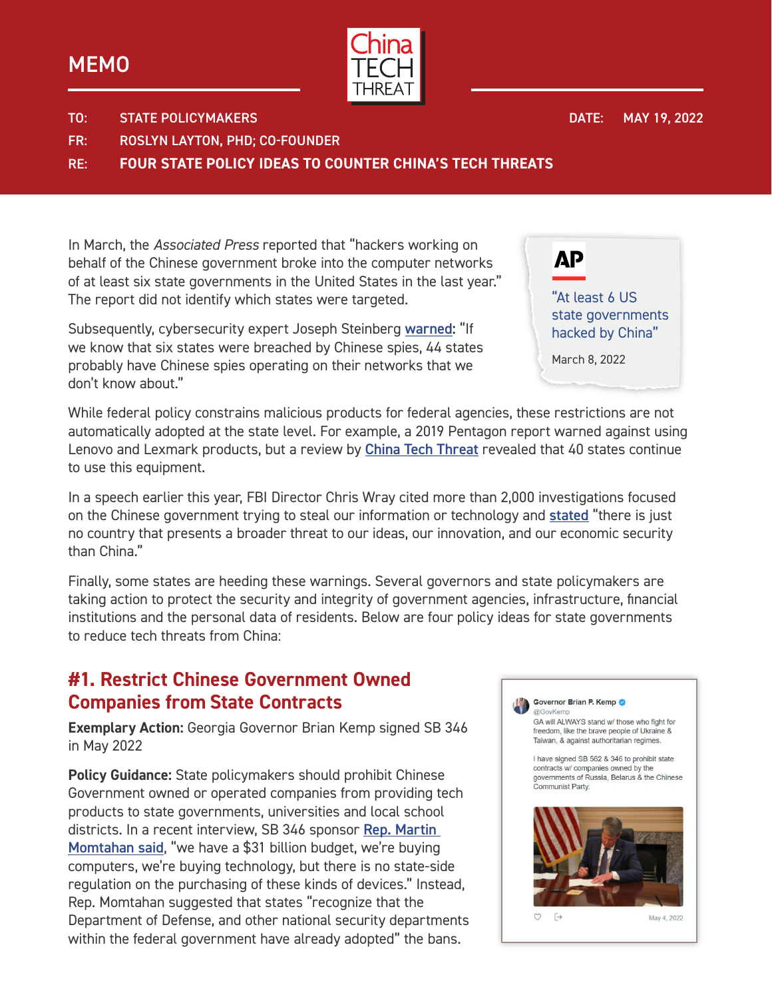## **MEMO**



DATE: MAY 19, 2022

TO: STATE POLICYMAKERS

FR: ROSLYN LAYTON, PHD; CO-FOUNDER

RE: **FOUR STATE POLICY IDEAS TO COUNTER CHINA'S TECH THREATS**

In March, the *Associated Press* reported that "hackers working on behalf of the Chinese government broke into the computer networks of at least six state governments in the United States in the last year." The report did not identify which states were targeted.

Subsequently, cybersecurity expert Joseph Steinberg [warned:](https://www.youtube.com/watch?v=HDIJ7EE5n-g) "If we know that six states were breached by Chinese spies, 44 states probably have Chinese spies operating on their networks that we don't know about."

While federal policy constrains malicious products for federal agencies, these restrictions are not automatically adopted at the state level. For example, a 2019 Pentagon report warned against using Lenovo and Lexmark products, but a review by *[China Tech Threat](https://chinatechthreat.com/special-report-state-contracts-with-banned-chinese-tech-manufacturers/)* revealed that 40 states continue to use this equipment.

In a speech earlier this year, FBI Director Chris Wray cited more than 2,000 investigations focused on the Chinese government trying to steal our information or technology and [stated](https://www.fbi.gov/news/stories/director-wray-addresses-threats-posed-to-the-us-by-china-020122) "there is just no country that presents a broader threat to our ideas, our innovation, and our economic security than China."

Finally, some states are heeding these warnings. Several governors and state policymakers are taking action to protect the security and integrity of government agencies, infrastructure, financial institutions and the personal data of residents. Below are four policy ideas for state governments to reduce tech threats from China:

#### **#1. Restrict Chinese Government Owned Companies from State Contracts**

**Exemplary Action:** Georgia Governor Brian Kemp signed SB 346 in May 2022

**Policy Guidance:** State policymakers should prohibit Chinese Government owned or operated companies from providing tech products to state governments, universities and local school districts. In a recent interview, SB 346 sponsor [Rep. Martin](https://www.youtube.com/watch?v=V74Sr_nw7M0&t=1s)  [Momtahan said](https://www.youtube.com/watch?v=V74Sr_nw7M0&t=1s), "we have a \$31 billion budget, we're buying computers, we're buying technology, but there is no state-side regulation on the purchasing of these kinds of devices." Instead, Rep. Momtahan suggested that states "recognize that the Department of Defense, and other national security departments within the federal government have already adopted" the bans.



Governor Brian P. Kemp @GovKe

GA will ALWAYS stand w/ those who fight for freedom, like the brave people of Ukraine & Taiwan, & against authoritarian regimes.

I have signed SB 562 & 346 to prohibit state contracts w/ companies owned by the governments of Russia. Belarus & the Chinese Communist Party



May 4, 2022